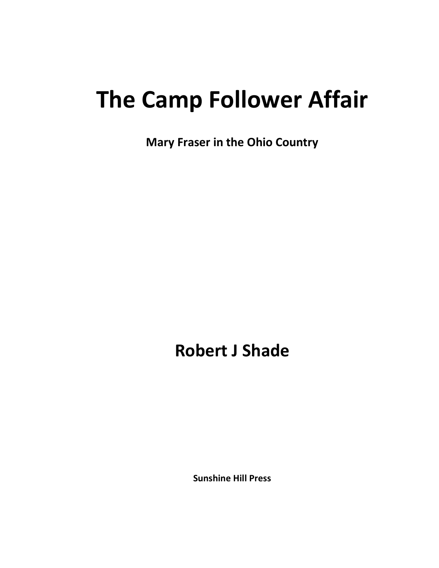# **The Camp Follower Affair**

**Mary Fraser in the Ohio Country**

**Robert J Shade**

**Sunshine Hill Press**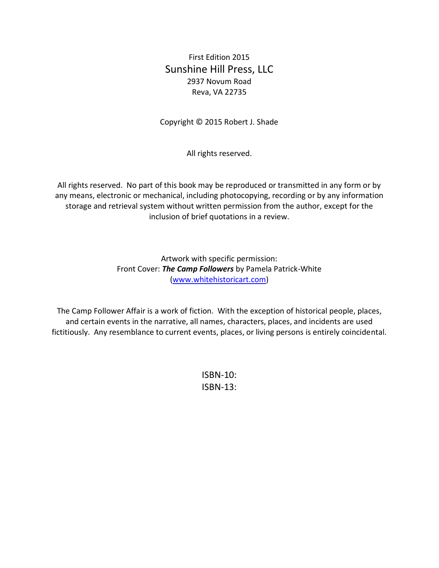First Edition 2015 Sunshine Hill Press, LLC 2937 Novum Road Reva, VA 22735

Copyright © 2015 Robert J. Shade

All rights reserved.

All rights reserved. No part of this book may be reproduced or transmitted in any form or by any means, electronic or mechanical, including photocopying, recording or by any information storage and retrieval system without written permission from the author, except for the inclusion of brief quotations in a review.

> Artwork with specific permission: Front Cover: *The Camp Followers* by Pamela Patrick-White [\(www.whitehistoricart.com\)](http://www.whitehistoricart.com/)

The Camp Follower Affair is a work of fiction. With the exception of historical people, places, and certain events in the narrative, all names, characters, places, and incidents are used fictitiously. Any resemblance to current events, places, or living persons is entirely coincidental.

> ISBN-10: ISBN-13: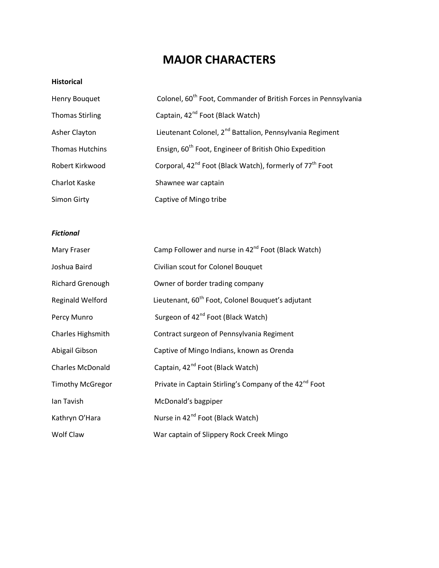# **MAJOR CHARACTERS**

#### **Historical**

| Henry Bouquet          | Colonel, 60 <sup>th</sup> Foot, Commander of British Forces in Pennsylvania      |
|------------------------|----------------------------------------------------------------------------------|
| <b>Thomas Stirling</b> | Captain, 42 <sup>nd</sup> Foot (Black Watch)                                     |
| Asher Clayton          | Lieutenant Colonel, 2 <sup>nd</sup> Battalion, Pennsylvania Regiment             |
| <b>Thomas Hutchins</b> | Ensign, 60 <sup>th</sup> Foot, Engineer of British Ohio Expedition               |
| Robert Kirkwood        | Corporal, 42 <sup>nd</sup> Foot (Black Watch), formerly of 77 <sup>th</sup> Foot |
| <b>Charlot Kaske</b>   | Shawnee war captain                                                              |
| Simon Girty            | Captive of Mingo tribe                                                           |

### *Fictional*

| Mary Fraser             | Camp Follower and nurse in 42 <sup>nd</sup> Foot (Black Watch)     |  |
|-------------------------|--------------------------------------------------------------------|--|
| Joshua Baird            | Civilian scout for Colonel Bouquet                                 |  |
| <b>Richard Grenough</b> | Owner of border trading company                                    |  |
| <b>Reginald Welford</b> | Lieutenant, 60 <sup>th</sup> Foot, Colonel Bouquet's adjutant      |  |
| Percy Munro             | Surgeon of 42 <sup>nd</sup> Foot (Black Watch)                     |  |
| Charles Highsmith       | Contract surgeon of Pennsylvania Regiment                          |  |
| Abigail Gibson          | Captive of Mingo Indians, known as Orenda                          |  |
| <b>Charles McDonald</b> | Captain, 42 <sup>nd</sup> Foot (Black Watch)                       |  |
| <b>Timothy McGregor</b> | Private in Captain Stirling's Company of the 42 <sup>nd</sup> Foot |  |
| Ian Tavish              | McDonald's bagpiper                                                |  |
| Kathryn O'Hara          | Nurse in 42 <sup>nd</sup> Foot (Black Watch)                       |  |
| Wolf Claw               | War captain of Slippery Rock Creek Mingo                           |  |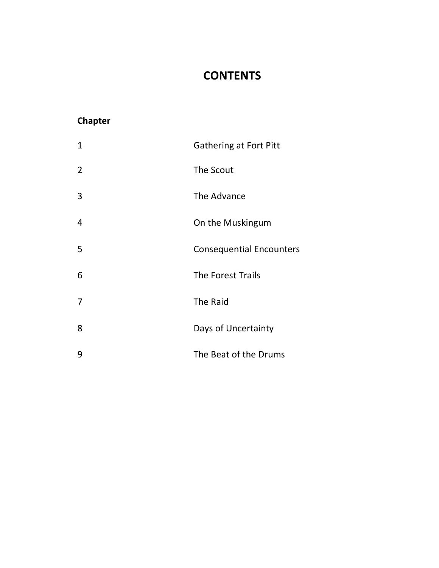# **CONTENTS**

## **Chapter**

| $\mathbf{1}$   | <b>Gathering at Fort Pitt</b>   |
|----------------|---------------------------------|
| $\overline{2}$ | The Scout                       |
| 3              | The Advance                     |
| 4              | On the Muskingum                |
| 5              | <b>Consequential Encounters</b> |
| 6              | The Forest Trails               |
| $\overline{7}$ | The Raid                        |
| 8              | Days of Uncertainty             |
| 9              | The Beat of the Drums           |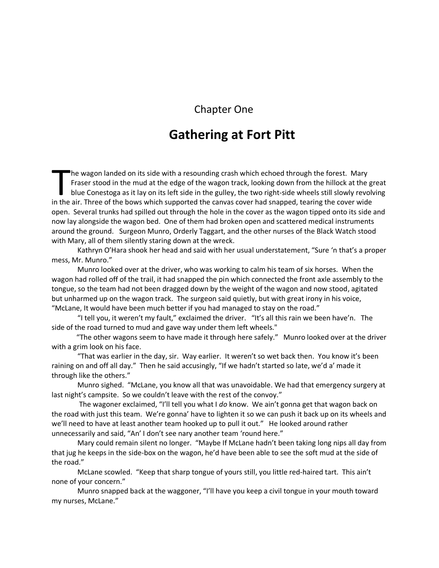## Chapter One

# **Gathering at Fort Pitt**

he wagon landed on its side with a resounding crash which echoed through the forest. Mary Fraser stood in the mud at the edge of the wagon track, looking down from the hillock at the great blue Conestoga as it lay on its left side in the gulley, the two right-side wheels still slowly revolving In the wagon landed on its side with a resounding crash which echoed through the forest. Mary<br>Fraser stood in the mud at the edge of the wagon track, looking down from the hillock at the g<br>blue Conestoga as it lay on its l open. Several trunks had spilled out through the hole in the cover as the wagon tipped onto its side and now lay alongside the wagon bed. One of them had broken open and scattered medical instruments around the ground. Surgeon Munro, Orderly Taggart, and the other nurses of the Black Watch stood with Mary, all of them silently staring down at the wreck.

Kathryn O'Hara shook her head and said with her usual understatement, "Sure 'n that's a proper mess, Mr. Munro."

Munro looked over at the driver, who was working to calm his team of six horses. When the wagon had rolled off of the trail, it had snapped the pin which connected the front axle assembly to the tongue, so the team had not been dragged down by the weight of the wagon and now stood, agitated but unharmed up on the wagon track. The surgeon said quietly, but with great irony in his voice, "McLane, It would have been much better if you had managed to stay on the road."

"I tell you, it weren't my fault," exclaimed the driver. "It's all this rain we been have'n. The side of the road turned to mud and gave way under them left wheels."

 "The other wagons seem to have made it through here safely." Munro looked over at the driver with a grim look on his face.

"That was earlier in the day, sir. Way earlier. It weren't so wet back then. You know it's been raining on and off all day." Then he said accusingly, "If we hadn't started so late, we'd a' made it through like the others."

Munro sighed. "McLane, you know all that was unavoidable. We had that emergency surgery at last night's campsite. So we couldn't leave with the rest of the convoy."

The wagoner exclaimed, "I'll tell you what I *do* know. We ain't gonna get that wagon back on the road with just this team. We're gonna' have to lighten it so we can push it back up on its wheels and we'll need to have at least another team hooked up to pull it out." He looked around rather unnecessarily and said, "An' I don't see nary another team 'round here."

Mary could remain silent no longer. "Maybe If McLane hadn't been taking long nips all day from that jug he keeps in the side-box on the wagon, he'd have been able to see the soft mud at the side of the road."

McLane scowled. "Keep that sharp tongue of yours still, you little red-haired tart. This ain't none of your concern."

Munro snapped back at the waggoner, "I'll have you keep a civil tongue in your mouth toward my nurses, McLane."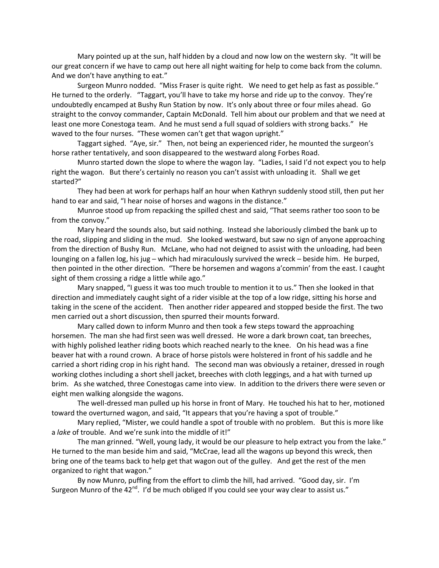Mary pointed up at the sun, half hidden by a cloud and now low on the western sky. "It will be our great concern if we have to camp out here all night waiting for help to come back from the column. And we don't have anything to eat."

Surgeon Munro nodded. "Miss Fraser is quite right. We need to get help as fast as possible." He turned to the orderly. "Taggart, you'll have to take my horse and ride up to the convoy. They're undoubtedly encamped at Bushy Run Station by now. It's only about three or four miles ahead. Go straight to the convoy commander, Captain McDonald. Tell him about our problem and that we need at least one more Conestoga team. And he must send a full squad of soldiers with strong backs." He waved to the four nurses. "These women can't get that wagon upright."

Taggart sighed. "Aye, sir." Then, not being an experienced rider, he mounted the surgeon's horse rather tentatively, and soon disappeared to the westward along Forbes Road.

Munro started down the slope to where the wagon lay. "Ladies, I said I'd not expect you to help right the wagon. But there's certainly no reason you can't assist with unloading it. Shall we get started?"

They had been at work for perhaps half an hour when Kathryn suddenly stood still, then put her hand to ear and said, "I hear noise of horses and wagons in the distance."

Munroe stood up from repacking the spilled chest and said, "That seems rather too soon to be from the convoy."

Mary heard the sounds also, but said nothing. Instead she laboriously climbed the bank up to the road, slipping and sliding in the mud. She looked westward, but saw no sign of anyone approaching from the direction of Bushy Run. McLane, who had not deigned to assist with the unloading, had been lounging on a fallen log, his jug — which had miraculously survived the wreck — beside him. He burped, then pointed in the other direction. "There be horsemen and wagons a'commin' from the east. I caught sight of them crossing a ridge a little while ago."

Mary snapped, "I guess it was too much trouble to mention it to us." Then she looked in that direction and immediately caught sight of a rider visible at the top of a low ridge, sitting his horse and taking in the scene of the accident. Then another rider appeared and stopped beside the first. The two men carried out a short discussion, then spurred their mounts forward.

Mary called down to inform Munro and then took a few steps toward the approaching horsemen. The man she had first seen was well dressed. He wore a dark brown coat, tan breeches, with highly polished leather riding boots which reached nearly to the knee. On his head was a fine beaver hat with a round crown. A brace of horse pistols were holstered in front of his saddle and he carried a short riding crop in his right hand. The second man was obviously a retainer, dressed in rough working clothes including a short shell jacket, breeches with cloth leggings, and a hat with turned up brim. As she watched, three Conestogas came into view. In addition to the drivers there were seven or eight men walking alongside the wagons.

The well-dressed man pulled up his horse in front of Mary. He touched his hat to her, motioned toward the overturned wagon, and said, "It appears that you're having a spot of trouble."

Mary replied, "Mister, we could handle a spot of trouble with no problem. But this is more like a *lake* of trouble. And we're sunk into the middle of it!"

The man grinned. "Well, young lady, it would be our pleasure to help extract you from the lake." He turned to the man beside him and said, "McCrae, lead all the wagons up beyond this wreck, then bring one of the teams back to help get that wagon out of the gulley. And get the rest of the men organized to right that wagon."

By now Munro, puffing from the effort to climb the hill, had arrived. "Good day, sir. I'm Surgeon Munro of the 42<sup>nd</sup>. I'd be much obliged If you could see your way clear to assist us."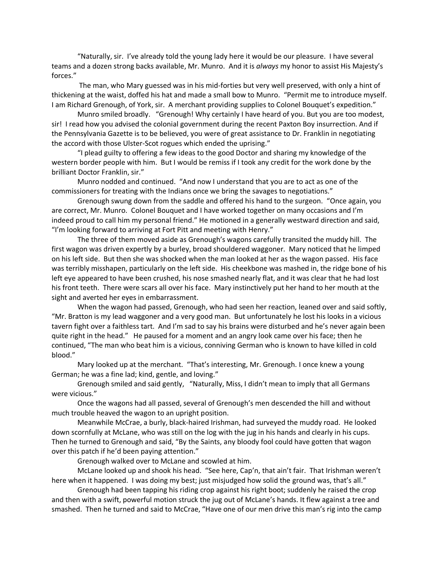"Naturally, sir. I've already told the young lady here it would be our pleasure. I have several teams and a dozen strong backs available, Mr. Munro. And it is *always* my honor to assist His Majesty's forces."

The man, who Mary guessed was in his mid-forties but very well preserved, with only a hint of thickening at the waist, doffed his hat and made a small bow to Munro. "Permit me to introduce myself. I am Richard Grenough, of York, sir. A merchant providing supplies to Colonel Bouquet's expedition."

Munro smiled broadly. "Grenough! Why certainly I have heard of you. But you are too modest, sir! I read how you advised the colonial government during the recent Paxton Boy insurrection. And if the Pennsylvania Gazette is to be believed, you were of great assistance to Dr. Franklin in negotiating the accord with those Ulster-Scot rogues which ended the uprising."

"I plead guilty to offering a few ideas to the good Doctor and sharing my knowledge of the western border people with him. But I would be remiss if I took any credit for the work done by the brilliant Doctor Franklin, sir."

Munro nodded and continued. "And now I understand that you are to act as one of the commissioners for treating with the Indians once we bring the savages to negotiations."

Grenough swung down from the saddle and offered his hand to the surgeon. "Once again, you are correct, Mr. Munro. Colonel Bouquet and I have worked together on many occasions and I'm indeed proud to call him my personal friend." He motioned in a generally westward direction and said, "I'm looking forward to arriving at Fort Pitt and meeting with Henry."

The three of them moved aside as Grenough's wagons carefully transited the muddy hill. The first wagon was driven expertly by a burley, broad shouldered waggoner. Mary noticed that he limped on his left side. But then she was shocked when the man looked at her as the wagon passed. His face was terribly misshapen, particularly on the left side. His cheekbone was mashed in, the ridge bone of his left eye appeared to have been crushed, his nose smashed nearly flat, and it was clear that he had lost his front teeth. There were scars all over his face. Mary instinctively put her hand to her mouth at the sight and averted her eyes in embarrassment.

When the wagon had passed, Grenough, who had seen her reaction, leaned over and said softly, "Mr. Bratton is my lead waggoner and a very good man. But unfortunately he lost his looks in a vicious tavern fight over a faithless tart. And I'm sad to say his brains were disturbed and he's never again been quite right in the head." He paused for a moment and an angry look came over his face; then he continued, "The man who beat him is a vicious, conniving German who is known to have killed in cold blood."

Mary looked up at the merchant. "That's interesting, Mr. Grenough. I once knew a young German; he was a fine lad; kind, gentle, and loving."

Grenough smiled and said gently, "Naturally, Miss, I didn't mean to imply that all Germans were vicious."

Once the wagons had all passed, several of Grenough's men descended the hill and without much trouble heaved the wagon to an upright position.

Meanwhile McCrae, a burly, black-haired Irishman, had surveyed the muddy road. He looked down scornfully at McLane, who was still on the log with the jug in his hands and clearly in his cups. Then he turned to Grenough and said, "By the Saints, any bloody fool could have gotten that wagon over this patch if he'd been paying attention."

Grenough walked over to McLane and scowled at him.

McLane looked up and shook his head. "See here, Cap'n, that ain't fair. That Irishman weren't here when it happened. I was doing my best; just misjudged how solid the ground was, that's all."

Grenough had been tapping his riding crop against his right boot; suddenly he raised the crop and then with a swift, powerful motion struck the jug out of McLane's hands. It flew against a tree and smashed. Then he turned and said to McCrae, "Have one of our men drive this man's rig into the camp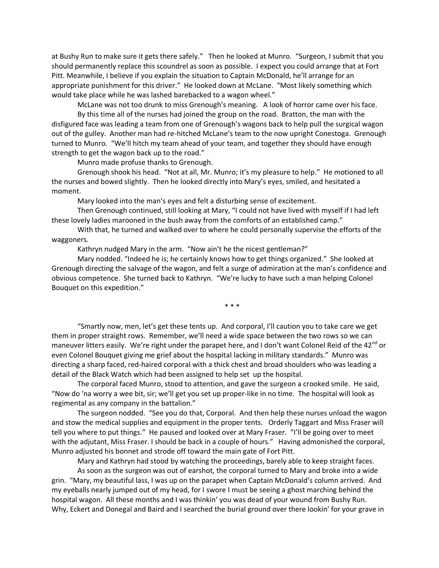at Bushy Run to make sure it gets there safely." Then he looked at Munro. "Surgeon, I submit that you should permanently replace this scoundrel as soon as possible. I expect you could arrange that at Fort Pitt. Meanwhile, I believe if you explain the situation to Captain McDonald, he'll arrange for an appropriate punishment for this driver." He looked down at McLane. "Most likely something which would take place while he was lashed barebacked to a wagon wheel."

McLane was not too drunk to miss Grenough's meaning. A look of horror came over his face.

By this time all of the nurses had joined the group on the road. Bratton, the man with the disfigured face was leading a team from one of Grenough's wagons back to help pull the surgical wagon out of the gulley. Another man had re-hitched McLane's team to the now upright Conestoga. Grenough turned to Munro. "We'll hitch my team ahead of your team, and together they should have enough strength to get the wagon back up to the road."

Munro made profuse thanks to Grenough.

Grenough shook his head. "Not at all, Mr. Munro; it's my pleasure to help." He motioned to all the nurses and bowed slightly. Then he looked directly into Mary's eyes, smiled, and hesitated a moment.

Mary looked into the man's eyes and felt a disturbing sense of excitement.

Then Grenough continued, still looking at Mary, "I could not have lived with myself if I had left these lovely ladies marooned in the bush away from the comforts of an established camp."

With that, he turned and walked over to where he could personally supervise the efforts of the waggoners.

Kathryn nudged Mary in the arm. "Now ain't he the nicest gentleman?"

Mary nodded. "Indeed he is; he certainly knows how to get things organized." She looked at Grenough directing the salvage of the wagon, and felt a surge of admiration at the man's confidence and obvious competence. She turned back to Kathryn. "We're lucky to have such a man helping Colonel Bouquet on this expedition."

\* \* \*

"Smartly now, men, let's get these tents up. And corporal, I'll caution you to take care we get them in proper straight rows. Remember, we'll need a wide space between the two rows so we can maneuver litters easily. We're right under the parapet here, and I don't want Colonel Reid of the 42<sup>nd</sup> or even Colonel Bouquet giving me grief about the hospital lacking in military standards." Munro was directing a sharp faced, red-haired corporal with a thick chest and broad shoulders who was leading a detail of the Black Watch which had been assigned to help set up the hospital.

The corporal faced Munro, stood to attention, and gave the surgeon a crooked smile. He said, "Now do 'na worry a wee bit, sir; we'll get you set up proper-like in no time. The hospital will look as regimental as any company in the battalion."

The surgeon nodded. "See you do that, Corporal. And then help these nurses unload the wagon and stow the medical supplies and equipment in the proper tents. Orderly Taggart and Miss Fraser will tell you where to put things." He paused and looked over at Mary Fraser. "I'll be going over to meet with the adjutant, Miss Fraser. I should be back in a couple of hours." Having admonished the corporal, Munro adjusted his bonnet and strode off toward the main gate of Fort Pitt.

Mary and Kathryn had stood by watching the proceedings, barely able to keep straight faces.

As soon as the surgeon was out of earshot, the corporal turned to Mary and broke into a wide grin. "Mary, my beautiful lass, I was up on the parapet when Captain McDonald's column arrived. And my eyeballs nearly jumped out of my head, for I swore I must be seeing a ghost marching behind the hospital wagon. All these months and I was thinkin' you was dead of your wound from Bushy Run. Why, Eckert and Donegal and Baird and I searched the burial ground over there lookin' for your grave in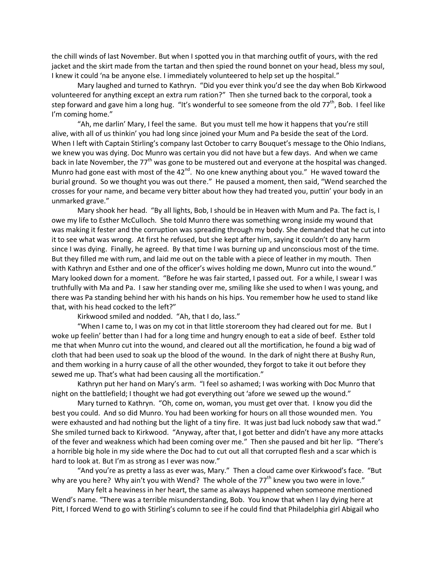the chill winds of last November. But when I spotted you in that marching outfit of yours, with the red jacket and the skirt made from the tartan and then spied the round bonnet on your head, bless my soul, I knew it could 'na be anyone else. I immediately volunteered to help set up the hospital."

Mary laughed and turned to Kathryn. "Did you ever think you'd see the day when Bob Kirkwood volunteered for anything except an extra rum ration?" Then she turned back to the corporal, took a step forward and gave him a long hug. "It's wonderful to see someone from the old 77<sup>th</sup>, Bob. I feel like I'm coming home."

"Ah, me darlin' Mary, I feel the same. But you must tell me how it happens that you're still alive, with all of us thinkin' you had long since joined your Mum and Pa beside the seat of the Lord. When I left with Captain Stirling's company last October to carry Bouquet's message to the Ohio Indians, we knew you was dying. Doc Munro was certain you did not have but a few days. And when we came back in late November, the 77<sup>th</sup> was gone to be mustered out and everyone at the hospital was changed. Munro had gone east with most of the  $42^{nd}$ . No one knew anything about you." He waved toward the burial ground. So we thought you was out there." He paused a moment, then said, "Wend searched the crosses for your name, and became very bitter about how they had treated you, puttin' your body in an unmarked grave."

Mary shook her head. "By all lights, Bob, I should be in Heaven with Mum and Pa. The fact is, I owe my life to Esther McCulloch. She told Munro there was something wrong inside my wound that was making it fester and the corruption was spreading through my body. She demanded that he cut into it to see what was wrong. At first he refused, but she kept after him, saying it couldn't do any harm since I was dying. Finally, he agreed. By that time I was burning up and unconscious most of the time. But they filled me with rum, and laid me out on the table with a piece of leather in my mouth. Then with Kathryn and Esther and one of the officer's wives holding me down, Munro cut into the wound." Mary looked down for a moment. "Before he was fair started, I passed out. For a while, I swear I was truthfully with Ma and Pa. I saw her standing over me, smiling like she used to when I was young, and there was Pa standing behind her with his hands on his hips. You remember how he used to stand like that, with his head cocked to the left?"

Kirkwood smiled and nodded. "Ah, that I do, lass."

"When I came to, I was on my cot in that little storeroom they had cleared out for me. But I woke up feelin' better than I had for a long time and hungry enough to eat a side of beef. Esther told me that when Munro cut into the wound, and cleared out all the mortification, he found a big wad of cloth that had been used to soak up the blood of the wound. In the dark of night there at Bushy Run, and them working in a hurry cause of all the other wounded, they forgot to take it out before they sewed me up. That's what had been causing all the mortification."

Kathryn put her hand on Mary's arm. "I feel so ashamed; I was working with Doc Munro that night on the battlefield; I thought we had got everything out 'afore we sewed up the wound."

Mary turned to Kathryn. "Oh, come on, woman, you must get over that. I know you did the best you could. And so did Munro. You had been working for hours on all those wounded men. You were exhausted and had nothing but the light of a tiny fire. It was just bad luck nobody saw that wad." She smiled turned back to Kirkwood. "Anyway, after that, I got better and didn't have any more attacks of the fever and weakness which had been coming over me." Then she paused and bit her lip. "There's a horrible big hole in my side where the Doc had to cut out all that corrupted flesh and a scar which is hard to look at. But I'm as strong as I ever was now."

"And you're as pretty a lass as ever was, Mary." Then a cloud came over Kirkwood's face. "But why are you here? Why ain't you with Wend? The whole of the  $77<sup>th</sup>$  knew you two were in love."

Mary felt a heaviness in her heart, the same as always happened when someone mentioned Wend's name. "There was a terrible misunderstanding, Bob. You know that when I lay dying here at Pitt, I forced Wend to go with Stirling's column to see if he could find that Philadelphia girl Abigail who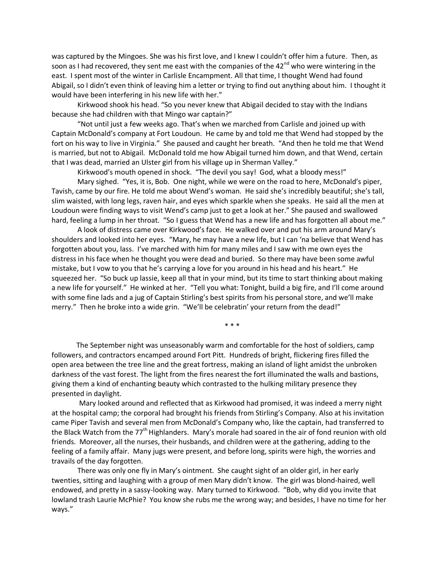was captured by the Mingoes. She was his first love, and I knew I couldn't offer him a future. Then, as soon as I had recovered, they sent me east with the companies of the 42<sup>nd</sup> who were wintering in the east. I spent most of the winter in Carlisle Encampment. All that time, I thought Wend had found Abigail, so I didn't even think of leaving him a letter or trying to find out anything about him. I thought it would have been interfering in his new life with her."

Kirkwood shook his head. "So you never knew that Abigail decided to stay with the Indians because she had children with that Mingo war captain?"

"Not until just a few weeks ago. That's when we marched from Carlisle and joined up with Captain McDonald's company at Fort Loudoun. He came by and told me that Wend had stopped by the fort on his way to live in Virginia." She paused and caught her breath. "And then he told me that Wend is married, but not to Abigail. McDonald told me how Abigail turned him down, and that Wend, certain that I was dead, married an Ulster girl from his village up in Sherman Valley."

Kirkwood's mouth opened in shock. "The devil you say! God, what a bloody mess!"

Mary sighed. "Yes, it is, Bob. One night, while we were on the road to here, McDonald's piper, Tavish, came by our fire. He told me about Wend's woman. He said she's incredibly beautiful; she's tall, slim waisted, with long legs, raven hair, and eyes which sparkle when she speaks. He said all the men at Loudoun were finding ways to visit Wend's camp just to get a look at her." She paused and swallowed hard, feeling a lump in her throat. "So I guess that Wend has a new life and has forgotten all about me."

A look of distress came over Kirkwood's face. He walked over and put his arm around Mary's shoulders and looked into her eyes. "Mary, he may have a new life, but I can 'na believe that Wend has forgotten about you, lass. I've marched with him for many miles and I saw with me own eyes the distress in his face when he thought you were dead and buried. So there may have been some awful mistake, but I vow to you that he's carrying a love for you around in his head and his heart." He squeezed her. "So buck up lassie, keep all that in your mind, but its time to start thinking about making a new life for yourself." He winked at her. "Tell you what: Tonight, build a big fire, and I'll come around with some fine lads and a jug of Captain Stirling's best spirits from his personal store, and we'll make merry." Then he broke into a wide grin. "We'll be celebratin' your return from the dead!"

\* \* \*

 The September night was unseasonably warm and comfortable for the host of soldiers, camp followers, and contractors encamped around Fort Pitt. Hundreds of bright, flickering fires filled the open area between the tree line and the great fortress, making an island of light amidst the unbroken darkness of the vast forest. The light from the fires nearest the fort illuminated the walls and bastions, giving them a kind of enchanting beauty which contrasted to the hulking military presence they presented in daylight.

Mary looked around and reflected that as Kirkwood had promised, it was indeed a merry night at the hospital camp; the corporal had brought his friends from Stirling's Company. Also at his invitation came Piper Tavish and several men from McDonald's Company who, like the captain, had transferred to the Black Watch from the  $77<sup>th</sup>$  Highlanders. Mary's morale had soared in the air of fond reunion with old friends. Moreover, all the nurses, their husbands, and children were at the gathering, adding to the feeling of a family affair. Many jugs were present, and before long, spirits were high, the worries and travails of the day forgotten.

There was only one fly in Mary's ointment. She caught sight of an older girl, in her early twenties, sitting and laughing with a group of men Mary didn't know. The girl was blond-haired, well endowed, and pretty in a sassy-looking way. Mary turned to Kirkwood. "Bob, why did you invite that lowland trash Laurie McPhie? You know she rubs me the wrong way; and besides, I have no time for her ways."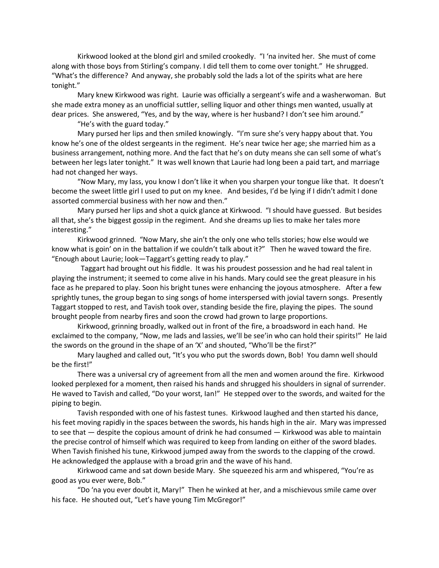Kirkwood looked at the blond girl and smiled crookedly. "I 'na invited her. She must of come along with those boys from Stirling's company. I did tell them to come over tonight." He shrugged. "What's the difference? And anyway, she probably sold the lads a lot of the spirits what are here tonight."

Mary knew Kirkwood was right. Laurie was officially a sergeant's wife and a washerwoman. But she made extra money as an unofficial suttler, selling liquor and other things men wanted, usually at dear prices. She answered, "Yes, and by the way, where is her husband? I don't see him around."

"He's with the guard today."

Mary pursed her lips and then smiled knowingly. "I'm sure she's very happy about that. You know he's one of the oldest sergeants in the regiment. He's near twice her age; she married him as a business arrangement, nothing more. And the fact that he's on duty means she can sell some of what's between her legs later tonight." It was well known that Laurie had long been a paid tart, and marriage had not changed her ways.

"Now Mary, my lass, you know I don't like it when you sharpen your tongue like that. It doesn't become the sweet little girl I used to put on my knee. And besides, I'd be lying if I didn't admit I done assorted commercial business with her now and then."

Mary pursed her lips and shot a quick glance at Kirkwood. "I should have guessed. But besides all that, she's the biggest gossip in the regiment. And she dreams up lies to make her tales more interesting."

Kirkwood grinned. "Now Mary, she ain't the only one who tells stories; how else would we know what is goin' on in the battalion if we couldn't talk about it?" Then he waved toward the fire. "Enough about Laurie; look—Taggart's getting ready to play."

 Taggart had brought out his fiddle. It was his proudest possession and he had real talent in playing the instrument; it seemed to come alive in his hands. Mary could see the great pleasure in his face as he prepared to play. Soon his bright tunes were enhancing the joyous atmosphere. After a few sprightly tunes, the group began to sing songs of home interspersed with jovial tavern songs. Presently Taggart stopped to rest, and Tavish took over, standing beside the fire, playing the pipes. The sound brought people from nearby fires and soon the crowd had grown to large proportions.

Kirkwood, grinning broadly, walked out in front of the fire, a broadsword in each hand. He exclaimed to the company, "Now, me lads and lassies, we'll be see'in who can hold their spirits!" He laid the swords on the ground in the shape of an 'X' and shouted, "Who'll be the first?"

Mary laughed and called out, "It's you who put the swords down, Bob! You damn well should be the first!"

There was a universal cry of agreement from all the men and women around the fire. Kirkwood looked perplexed for a moment, then raised his hands and shrugged his shoulders in signal of surrender. He waved to Tavish and called, "Do your worst, Ian!" He stepped over to the swords, and waited for the piping to begin.

Tavish responded with one of his fastest tunes. Kirkwood laughed and then started his dance, his feet moving rapidly in the spaces between the swords, his hands high in the air. Mary was impressed to see that — despite the copious amount of drink he had consumed — Kirkwood was able to maintain the precise control of himself which was required to keep from landing on either of the sword blades. When Tavish finished his tune, Kirkwood jumped away from the swords to the clapping of the crowd. He acknowledged the applause with a broad grin and the wave of his hand.

Kirkwood came and sat down beside Mary. She squeezed his arm and whispered, "You're as good as you ever were, Bob."

"Do 'na you ever doubt it, Mary!" Then he winked at her, and a mischievous smile came over his face. He shouted out, "Let's have young Tim McGregor!"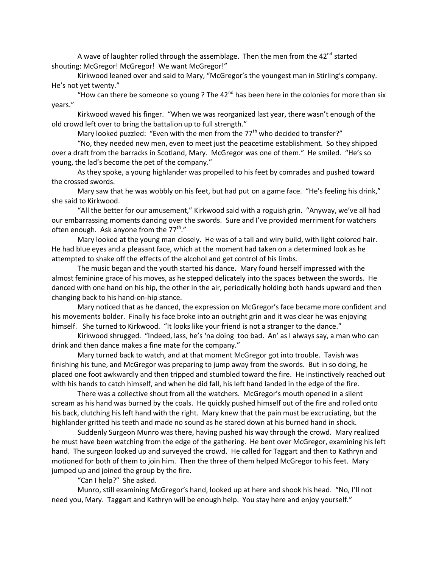A wave of laughter rolled through the assemblage. Then the men from the  $42^{nd}$  started shouting: McGregor! McGregor! We want McGregor!"

Kirkwood leaned over and said to Mary, "McGregor's the youngest man in Stirling's company. He's not yet twenty."

"How can there be someone so young ? The  $42<sup>nd</sup>$  has been here in the colonies for more than six years."

Kirkwood waved his finger. "When we was reorganized last year, there wasn't enough of the old crowd left over to bring the battalion up to full strength."

Mary looked puzzled: "Even with the men from the  $77<sup>th</sup>$  who decided to transfer?"

"No, they needed new men, even to meet just the peacetime establishment. So they shipped over a draft from the barracks in Scotland, Mary. McGregor was one of them." He smiled. "He's so young, the lad's become the pet of the company."

As they spoke, a young highlander was propelled to his feet by comrades and pushed toward the crossed swords.

Mary saw that he was wobbly on his feet, but had put on a game face. "He's feeling his drink," she said to Kirkwood.

"All the better for our amusement," Kirkwood said with a roguish grin. "Anyway, we've all had our embarrassing moments dancing over the swords. Sure and I've provided merriment for watchers often enough. Ask anyone from the 77<sup>th</sup>."

Mary looked at the young man closely. He was of a tall and wiry build, with light colored hair. He had blue eyes and a pleasant face, which at the moment had taken on a determined look as he attempted to shake off the effects of the alcohol and get control of his limbs.

The music began and the youth started his dance. Mary found herself impressed with the almost feminine grace of his moves, as he stepped delicately into the spaces between the swords. He danced with one hand on his hip, the other in the air, periodically holding both hands upward and then changing back to his hand-on-hip stance.

Mary noticed that as he danced, the expression on McGregor's face became more confident and his movements bolder. Finally his face broke into an outright grin and it was clear he was enjoying himself. She turned to Kirkwood. "It looks like your friend is not a stranger to the dance."

Kirkwood shrugged. "Indeed, lass, he's 'na doing too bad. An' as I always say, a man who can drink and then dance makes a fine mate for the company."

Mary turned back to watch, and at that moment McGregor got into trouble. Tavish was finishing his tune, and McGregor was preparing to jump away from the swords. But in so doing, he placed one foot awkwardly and then tripped and stumbled toward the fire. He instinctively reached out with his hands to catch himself, and when he did fall, his left hand landed in the edge of the fire.

There was a collective shout from all the watchers. McGregor's mouth opened in a silent scream as his hand was burned by the coals. He quickly pushed himself out of the fire and rolled onto his back, clutching his left hand with the right. Mary knew that the pain must be excruciating, but the highlander gritted his teeth and made no sound as he stared down at his burned hand in shock.

Suddenly Surgeon Munro was there, having pushed his way through the crowd. Mary realized he must have been watching from the edge of the gathering. He bent over McGregor, examining his left hand. The surgeon looked up and surveyed the crowd. He called for Taggart and then to Kathryn and motioned for both of them to join him. Then the three of them helped McGregor to his feet. Mary jumped up and joined the group by the fire.

"Can I help?" She asked.

Munro, still examining McGregor's hand, looked up at here and shook his head. "No, I'll not need you, Mary. Taggart and Kathryn will be enough help. You stay here and enjoy yourself."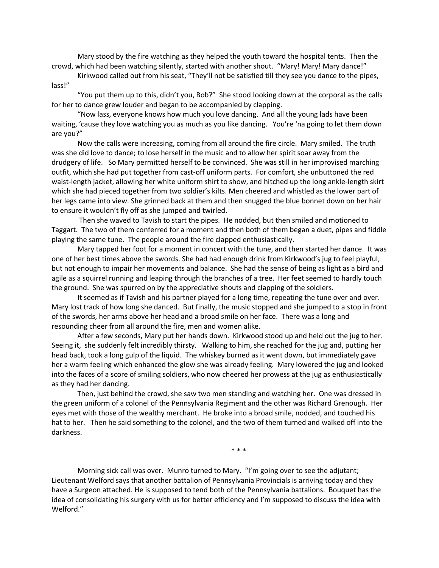Mary stood by the fire watching as they helped the youth toward the hospital tents. Then the crowd, which had been watching silently, started with another shout. "Mary! Mary! Mary dance!"

Kirkwood called out from his seat, "They'll not be satisfied till they see you dance to the pipes, lass!"

"You put them up to this, didn't you, Bob?" She stood looking down at the corporal as the calls for her to dance grew louder and began to be accompanied by clapping.

"Now lass, everyone knows how much you love dancing. And all the young lads have been waiting, 'cause they love watching you as much as you like dancing. You're 'na going to let them down are you?"

Now the calls were increasing, coming from all around the fire circle. Mary smiled. The truth was she did love to dance; to lose herself in the music and to allow her spirit soar away from the drudgery of life. So Mary permitted herself to be convinced. She was still in her improvised marching outfit, which she had put together from cast-off uniform parts. For comfort, she unbuttoned the red waist-length jacket, allowing her white uniform shirt to show, and hitched up the long ankle-length skirt which she had pieced together from two soldier's kilts. Men cheered and whistled as the lower part of her legs came into view. She grinned back at them and then snugged the blue bonnet down on her hair to ensure it wouldn't fly off as she jumped and twirled.

Then she waved to Tavish to start the pipes. He nodded, but then smiled and motioned to Taggart. The two of them conferred for a moment and then both of them began a duet, pipes and fiddle playing the same tune. The people around the fire clapped enthusiastically.

Mary tapped her foot for a moment in concert with the tune, and then started her dance. It was one of her best times above the swords. She had had enough drink from Kirkwood's jug to feel playful, but not enough to impair her movements and balance. She had the sense of being as light as a bird and agile as a squirrel running and leaping through the branches of a tree. Her feet seemed to hardly touch the ground. She was spurred on by the appreciative shouts and clapping of the soldiers.

It seemed as if Tavish and his partner played for a long time, repeating the tune over and over. Mary lost track of how long she danced. But finally, the music stopped and she jumped to a stop in front of the swords, her arms above her head and a broad smile on her face. There was a long and resounding cheer from all around the fire, men and women alike.

After a few seconds, Mary put her hands down. Kirkwood stood up and held out the jug to her. Seeing it, she suddenly felt incredibly thirsty. Walking to him, she reached for the jug and, putting her head back, took a long gulp of the liquid. The whiskey burned as it went down, but immediately gave her a warm feeling which enhanced the glow she was already feeling. Mary lowered the jug and looked into the faces of a score of smiling soldiers, who now cheered her prowess at the jug as enthusiastically as they had her dancing.

Then, just behind the crowd, she saw two men standing and watching her. One was dressed in the green uniform of a colonel of the Pennsylvania Regiment and the other was Richard Grenough. Her eyes met with those of the wealthy merchant. He broke into a broad smile, nodded, and touched his hat to her. Then he said something to the colonel, and the two of them turned and walked off into the darkness.

\* \* \*

Morning sick call was over. Munro turned to Mary. "I'm going over to see the adjutant; Lieutenant Welford says that another battalion of Pennsylvania Provincials is arriving today and they have a Surgeon attached. He is supposed to tend both of the Pennsylvania battalions. Bouquet has the idea of consolidating his surgery with us for better efficiency and I'm supposed to discuss the idea with Welford."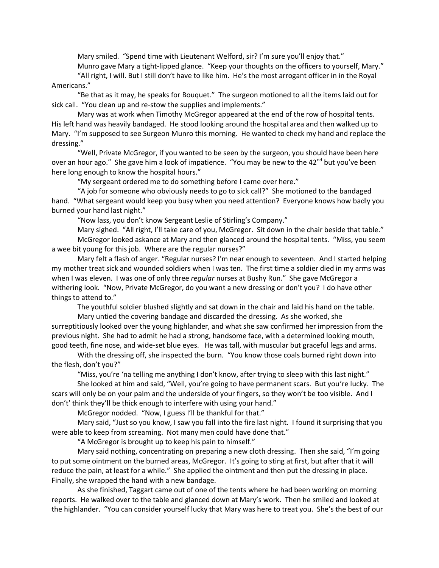Mary smiled. "Spend time with Lieutenant Welford, sir? I'm sure you'll enjoy that." Munro gave Mary a tight-lipped glance. "Keep your thoughts on the officers to yourself, Mary."

"All right, I will. But I still don't have to like him. He's the most arrogant officer in in the Royal Americans."

"Be that as it may, he speaks for Bouquet." The surgeon motioned to all the items laid out for sick call. "You clean up and re-stow the supplies and implements."

Mary was at work when Timothy McGregor appeared at the end of the row of hospital tents. His left hand was heavily bandaged. He stood looking around the hospital area and then walked up to Mary. "I'm supposed to see Surgeon Munro this morning. He wanted to check my hand and replace the dressing."

"Well, Private McGregor, if you wanted to be seen by the surgeon, you should have been here over an hour ago." She gave him a look of impatience. "You may be new to the  $42<sup>nd</sup>$  but you've been here long enough to know the hospital hours."

"My sergeant ordered me to do something before I came over here."

"A job for someone who obviously needs to go to sick call?" She motioned to the bandaged hand. "What sergeant would keep you busy when you need attention? Everyone knows how badly you burned your hand last night."

"Now lass, you don't know Sergeant Leslie of Stirling's Company."

Mary sighed. "All right, I'll take care of you, McGregor. Sit down in the chair beside that table." McGregor looked askance at Mary and then glanced around the hospital tents. "Miss, you seem a wee bit young for this job. Where are the regular nurses?"

Mary felt a flash of anger. "Regular nurses? I'm near enough to seventeen. And I started helping my mother treat sick and wounded soldiers when I was ten. The first time a soldier died in my arms was when I was eleven. I was one of only three *regular* nurses at Bushy Run." She gave McGregor a withering look. "Now, Private McGregor, do you want a new dressing or don't you? I do have other things to attend to."

The youthful soldier blushed slightly and sat down in the chair and laid his hand on the table. Mary untied the covering bandage and discarded the dressing. As she worked, she

surreptitiously looked over the young highlander, and what she saw confirmed her impression from the previous night. She had to admit he had a strong, handsome face, with a determined looking mouth, good teeth, fine nose, and wide-set blue eyes. He was tall, with muscular but graceful legs and arms.

With the dressing off, she inspected the burn. "You know those coals burned right down into the flesh, don't you?"

"Miss, you're 'na telling me anything I don't know, after trying to sleep with this last night."

She looked at him and said, "Well, you're going to have permanent scars. But you're lucky. The scars will only be on your palm and the underside of your fingers, so they won't be too visible. And I don't' think they'll be thick enough to interfere with using your hand."

McGregor nodded. "Now, I guess I'll be thankful for that."

Mary said, "Just so you know, I saw you fall into the fire last night. I found it surprising that you were able to keep from screaming. Not many men could have done that."

"A McGregor is brought up to keep his pain to himself."

Mary said nothing, concentrating on preparing a new cloth dressing. Then she said, "I'm going to put some ointment on the burned areas, McGregor. It's going to sting at first, but after that it will reduce the pain, at least for a while." She applied the ointment and then put the dressing in place. Finally, she wrapped the hand with a new bandage.

As she finished, Taggart came out of one of the tents where he had been working on morning reports. He walked over to the table and glanced down at Mary's work. Then he smiled and looked at the highlander. "You can consider yourself lucky that Mary was here to treat you. She's the best of our